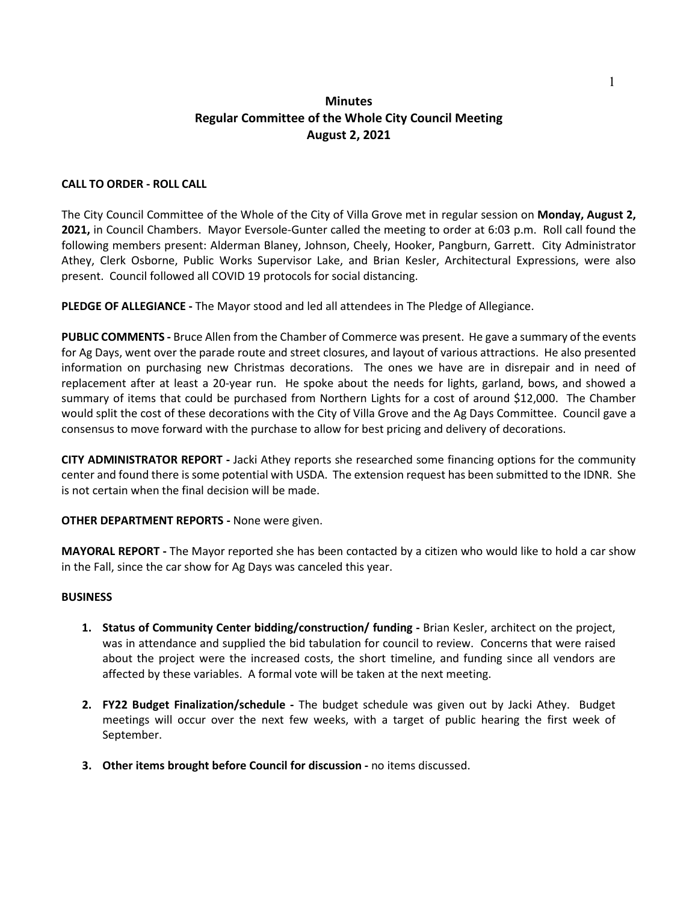## **Minutes Regular Committee of the Whole City Council Meeting August 2, 2021**

## **CALL TO ORDER - ROLL CALL**

The City Council Committee of the Whole of the City of Villa Grove met in regular session on **Monday, August 2, 2021,** in Council Chambers. Mayor Eversole-Gunter called the meeting to order at 6:03 p.m. Roll call found the following members present: Alderman Blaney, Johnson, Cheely, Hooker, Pangburn, Garrett. City Administrator Athey, Clerk Osborne, Public Works Supervisor Lake, and Brian Kesler, Architectural Expressions, were also present. Council followed all COVID 19 protocols for social distancing.

**PLEDGE OF ALLEGIANCE -** The Mayor stood and led all attendees in The Pledge of Allegiance.

**PUBLIC COMMENTS -** Bruce Allen from the Chamber of Commerce was present. He gave a summary of the events for Ag Days, went over the parade route and street closures, and layout of various attractions. He also presented information on purchasing new Christmas decorations. The ones we have are in disrepair and in need of replacement after at least a 20-year run. He spoke about the needs for lights, garland, bows, and showed a summary of items that could be purchased from Northern Lights for a cost of around \$12,000. The Chamber would split the cost of these decorations with the City of Villa Grove and the Ag Days Committee. Council gave a consensus to move forward with the purchase to allow for best pricing and delivery of decorations.

**CITY ADMINISTRATOR REPORT -** Jacki Athey reports she researched some financing options for the community center and found there is some potential with USDA. The extension request has been submitted to the IDNR. She is not certain when the final decision will be made.

**OTHER DEPARTMENT REPORTS -** None were given.

**MAYORAL REPORT -** The Mayor reported she has been contacted by a citizen who would like to hold a car show in the Fall, since the car show for Ag Days was canceled this year.

## **BUSINESS**

- **1. Status of Community Center bidding/construction/ funding -** Brian Kesler, architect on the project, was in attendance and supplied the bid tabulation for council to review. Concerns that were raised about the project were the increased costs, the short timeline, and funding since all vendors are affected by these variables. A formal vote will be taken at the next meeting.
- **2. FY22 Budget Finalization/schedule -** The budget schedule was given out by Jacki Athey. Budget meetings will occur over the next few weeks, with a target of public hearing the first week of September.
- **3. Other items brought before Council for discussion -** no items discussed.